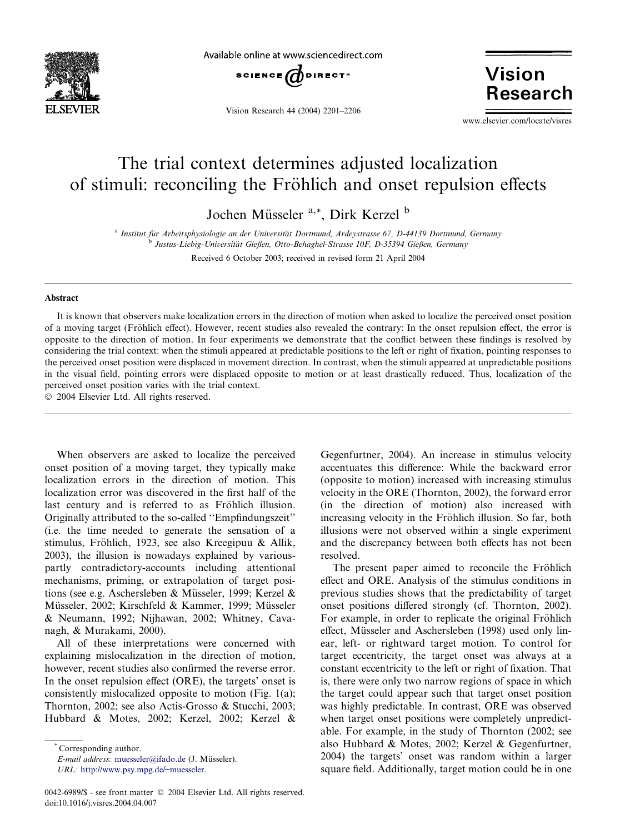

Available online at www.sciencedirect.com



Vision Research 44 (2004) 2201–2206

**Vision Research** 

www.elsevier.com/locate/visres

# The trial context determines adjusted localization of stimuli: reconciling the Fröhlich and onset repulsion effects

Jochen Müsseler <sup>a,\*</sup>, Dirk Kerzel <sup>b</sup>

<sup>a</sup> Institut für Arbeitsphysiologie an der Universität Dortmund, Ardeystrasse 67, D-44139 Dortmund, Germany b Justus-Liebig-Universität Gießen, Otto-Behaghel-Strasse 10F, D-35394 Gießen, Germany

Received 6 October 2003; received in revised form 21 April 2004

# Abstract

It is known that observers make localization errors in the direction of motion when asked to localize the perceived onset position of a moving target (Fröhlich effect). However, recent studies also revealed the contrary: In the onset repulsion effect, the error is opposite to the direction of motion. In four experiments we demonstrate that the conflict between these findings is resolved by considering the trial context: when the stimuli appeared at predictable positions to the left or right of fixation, pointing responses to the perceived onset position were displaced in movement direction. In contrast, when the stimuli appeared at unpredictable positions in the visual field, pointing errors were displaced opposite to motion or at least drastically reduced. Thus, localization of the perceived onset position varies with the trial context.

2004 Elsevier Ltd. All rights reserved.

When observers are asked to localize the perceived onset position of a moving target, they typically make localization errors in the direction of motion. This localization error was discovered in the first half of the last century and is referred to as Fröhlich illusion. Originally attributed to the so-called ''Empfindungszeit'' (i.e. the time needed to generate the sensation of a stimulus, Fröhlich, 1923, see also Kreegipuu & Allik, 2003), the illusion is nowadays explained by variouspartly contradictory-accounts including attentional mechanisms, priming, or extrapolation of target positions (see e.g. Aschersleben & Müsseler, 1999; Kerzel & Müsseler, 2002; Kirschfeld & Kammer, 1999; Müsseler & Neumann, 1992; Nijhawan, 2002; Whitney, Cavanagh, & Murakami, 2000).

All of these interpretations were concerned with explaining mislocalization in the direction of motion, however, recent studies also confirmed the reverse error. In the onset repulsion effect (ORE), the targets' onset is consistently mislocalized opposite to motion (Fig. 1(a); Thornton, 2002; see also Actis-Grosso & Stucchi, 2003; Hubbard & Motes, 2002; Kerzel, 2002; Kerzel &

\* Corresponding author.

E-mail address: [muesseler@ifado.de](mail to: muesseler@ifado.de) (J. Müsseler). URL: [http://www.psy.mpg.de/~muesseler.](http://www.psy.mpg.de/~muesseler)

Gegenfurtner, 2004). An increase in stimulus velocity accentuates this difference: While the backward error (opposite to motion) increased with increasing stimulus velocity in the ORE (Thornton, 2002), the forward error (in the direction of motion) also increased with increasing velocity in the Fröhlich illusion. So far, both illusions were not observed within a single experiment and the discrepancy between both effects has not been resolved.

The present paper aimed to reconcile the Fröhlich effect and ORE. Analysis of the stimulus conditions in previous studies shows that the predictability of target onset positions differed strongly (cf. Thornton, 2002). For example, in order to replicate the original Fröhlich effect, Müsseler and Aschersleben (1998) used only linear, left- or rightward target motion. To control for target eccentricity, the target onset was always at a constant eccentricity to the left or right of fixation. That is, there were only two narrow regions of space in which the target could appear such that target onset position was highly predictable. In contrast, ORE was observed when target onset positions were completely unpredictable. For example, in the study of Thornton (2002; see also Hubbard & Motes, 2002; Kerzel & Gegenfurtner, 2004) the targets' onset was random within a larger square field. Additionally, target motion could be in one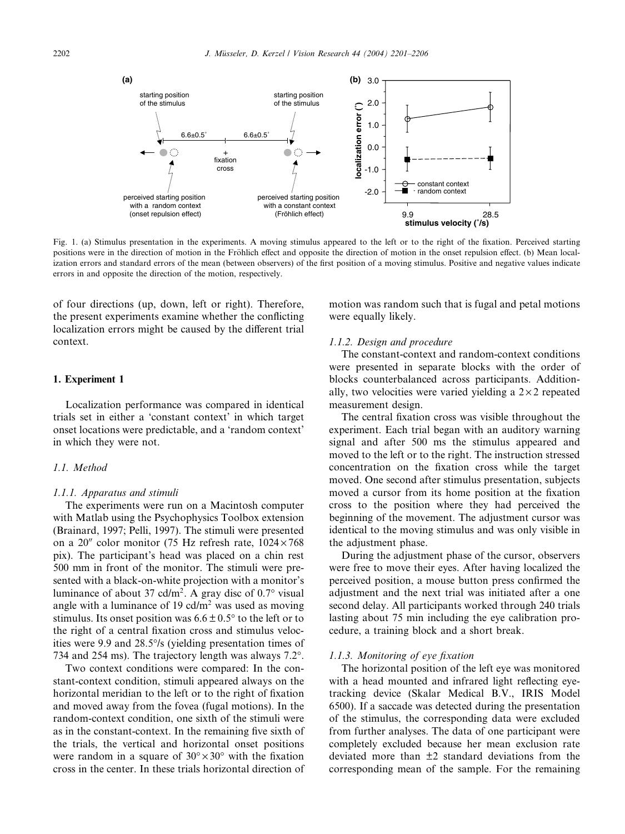

Fig. 1. (a) Stimulus presentation in the experiments. A moving stimulus appeared to the left or to the right of the fixation. Perceived starting positions were in the direction of motion in the Fröhlich effect and opposite the direction of motion in the onset repulsion effect. (b) Mean localization errors and standard errors of the mean (between observers) of the first position of a moving stimulus. Positive and negative values indicate errors in and opposite the direction of the motion, respectively.

of four directions (up, down, left or right). Therefore, the present experiments examine whether the conflicting localization errors might be caused by the different trial context.

# 1. Experiment 1

Localization performance was compared in identical trials set in either a 'constant context' in which target onset locations were predictable, and a 'random context' in which they were not.

# 1.1. Method

#### 1.1.1. Apparatus and stimuli

The experiments were run on a Macintosh computer with Matlab using the Psychophysics Toolbox extension (Brainard, 1997; Pelli, 1997). The stimuli were presented on a 20" color monitor (75 Hz refresh rate,  $1024 \times 768$ pix). The participant's head was placed on a chin rest 500 mm in front of the monitor. The stimuli were presented with a black-on-white projection with a monitor's luminance of about 37 cd/m<sup>2</sup>. A gray disc of  $0.7^{\circ}$  visual angle with a luminance of 19 cd/ $m<sup>2</sup>$  was used as moving stimulus. Its onset position was  $6.6 \pm 0.5^{\circ}$  to the left or to the right of a central fixation cross and stimulus velocities were 9.9 and 28.5% (yielding presentation times of 734 and 254 ms). The trajectory length was always 7.2°.

Two context conditions were compared: In the constant-context condition, stimuli appeared always on the horizontal meridian to the left or to the right of fixation and moved away from the fovea (fugal motions). In the random-context condition, one sixth of the stimuli were as in the constant-context. In the remaining five sixth of the trials, the vertical and horizontal onset positions were random in a square of  $30^{\circ} \times 30^{\circ}$  with the fixation cross in the center. In these trials horizontal direction of

motion was random such that is fugal and petal motions were equally likely.

# 1.1.2. Design and procedure

The constant-context and random-context conditions were presented in separate blocks with the order of blocks counterbalanced across participants. Additionally, two velocities were varied vielding a  $2 \times 2$  repeated measurement design.

The central fixation cross was visible throughout the experiment. Each trial began with an auditory warning signal and after 500 ms the stimulus appeared and moved to the left or to the right. The instruction stressed concentration on the fixation cross while the target moved. One second after stimulus presentation, subjects moved a cursor from its home position at the fixation cross to the position where they had perceived the beginning of the movement. The adjustment cursor was identical to the moving stimulus and was only visible in the adjustment phase. corresponding mean of the sample. For the remaining **localization error (˚)**

During the adjustment phase of the cursor, observers were free to move their eyes. After having localized the perceived position, a mouse button press confirmed the adjustment and the next trial was initiated after a one second delay. All participants worked through 240 trials lasting about 75 min including the eye calibration procedure, a training block and a short break.

# 1.1.3. Monitoring of eye fixation

The horizontal position of the left eye was monitored with a head mounted and infrared light reflecting eyetracking device (Skalar Medical B.V., IRIS Model 6500). If a saccade was detected during the presentation of the stimulus, the corresponding data were excluded from further analyses. The data of one participant were completely excluded because her mean exclusion rate deviated more than ±2 standard deviations from the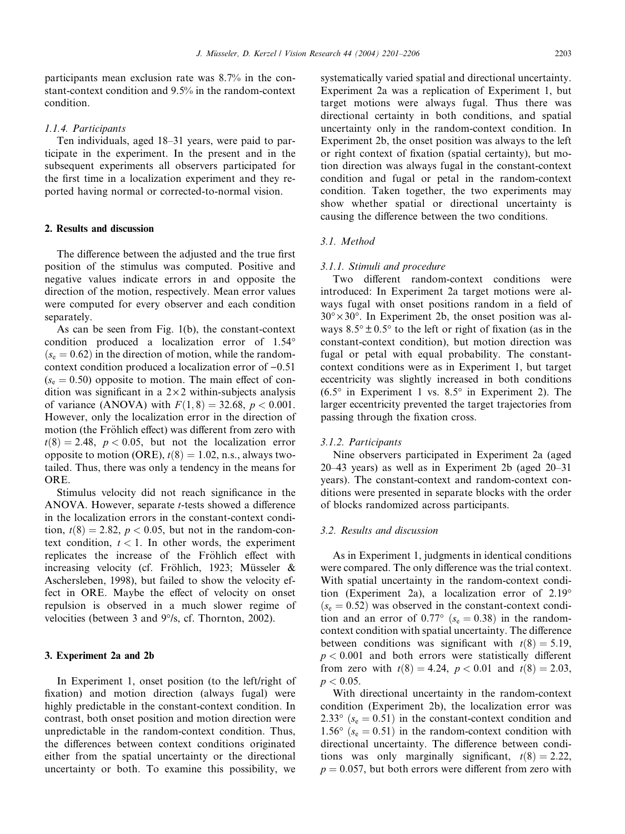participants mean exclusion rate was 8.7% in the constant-context condition and 9.5% in the random-context condition.

## 1.1.4. Participants

Ten individuals, aged 18–31 years, were paid to participate in the experiment. In the present and in the subsequent experiments all observers participated for the first time in a localization experiment and they reported having normal or corrected-to-normal vision.

# 2. Results and discussion

The difference between the adjusted and the true first position of the stimulus was computed. Positive and negative values indicate errors in and opposite the direction of the motion, respectively. Mean error values were computed for every observer and each condition separately.

As can be seen from Fig. 1(b), the constant-context condition produced a localization error of 1.54°  $(s_e = 0.62)$  in the direction of motion, while the randomcontext condition produced a localization error of  $-0.51$  $(s_e = 0.50)$  opposite to motion. The main effect of condition was significant in a  $2 \times 2$  within-subjects analysis of variance (ANOVA) with  $F(1, 8) = 32.68$ ,  $p < 0.001$ . However, only the localization error in the direction of motion (the Fröhlich effect) was different from zero with  $t(8) = 2.48$ ,  $p < 0.05$ , but not the localization error opposite to motion (ORE),  $t(8) = 1.02$ , n.s., always twotailed. Thus, there was only a tendency in the means for ORE.

Stimulus velocity did not reach significance in the ANOVA. However, separate t-tests showed a difference in the localization errors in the constant-context condition,  $t(8) = 2.82$ ,  $p < 0.05$ , but not in the random-context condition,  $t < 1$ . In other words, the experiment replicates the increase of the Fröhlich effect with increasing velocity (cf. Fröhlich, 1923; Müsseler & Aschersleben, 1998), but failed to show the velocity effect in ORE. Maybe the effect of velocity on onset repulsion is observed in a much slower regime of velocities (between 3 and  $9^{\circ}/s$ , cf. Thornton, 2002).

# 3. Experiment 2a and 2b

In Experiment 1, onset position (to the left/right of fixation) and motion direction (always fugal) were highly predictable in the constant-context condition. In contrast, both onset position and motion direction were unpredictable in the random-context condition. Thus, the differences between context conditions originated either from the spatial uncertainty or the directional uncertainty or both. To examine this possibility, we

systematically varied spatial and directional uncertainty. Experiment 2a was a replication of Experiment 1, but target motions were always fugal. Thus there was directional certainty in both conditions, and spatial uncertainty only in the random-context condition. In Experiment 2b, the onset position was always to the left or right context of fixation (spatial certainty), but motion direction was always fugal in the constant-context condition and fugal or petal in the random-context condition. Taken together, the two experiments may show whether spatial or directional uncertainty is causing the difference between the two conditions.

# 3.1. Method

## 3.1.1. Stimuli and procedure

Two different random-context conditions were introduced: In Experiment 2a target motions were always fugal with onset positions random in a field of  $30^{\circ} \times 30^{\circ}$ . In Experiment 2b, the onset position was always  $8.5^{\circ} \pm 0.5^{\circ}$  to the left or right of fixation (as in the constant-context condition), but motion direction was fugal or petal with equal probability. The constantcontext conditions were as in Experiment 1, but target eccentricity was slightly increased in both conditions  $(6.5^{\circ}$  in Experiment 1 vs. 8.5 $^{\circ}$  in Experiment 2). The larger eccentricity prevented the target trajectories from passing through the fixation cross.

#### 3.1.2. Participants

Nine observers participated in Experiment 2a (aged 20–43 years) as well as in Experiment 2b (aged 20–31 years). The constant-context and random-context conditions were presented in separate blocks with the order of blocks randomized across participants.

## 3.2. Results and discussion

As in Experiment 1, judgments in identical conditions were compared. The only difference was the trial context. With spatial uncertainty in the random-context condition (Experiment 2a), a localization error of 2.19-  $(s_e = 0.52)$  was observed in the constant-context condition and an error of  $0.77^{\circ}$  ( $s_e = 0.38$ ) in the randomcontext condition with spatial uncertainty. The difference between conditions was significant with  $t(8) = 5.19$ ,  $p < 0.001$  and both errors were statistically different from zero with  $t(8) = 4.24$ ,  $p < 0.01$  and  $t(8) = 2.03$ ,  $p < 0.05$ .

With directional uncertainty in the random-context condition (Experiment 2b), the localization error was 2.33 $\degree$  ( $s_e = 0.51$ ) in the constant-context condition and 1.56° ( $s_e$  = 0.51) in the random-context condition with directional uncertainty. The difference between conditions was only marginally significant,  $t(8) = 2.22$ ,  $p = 0.057$ , but both errors were different from zero with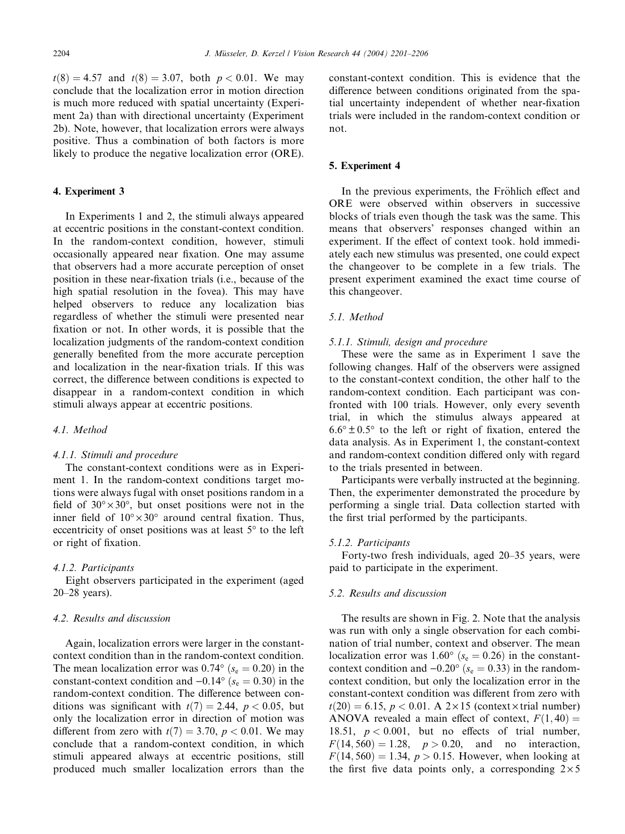$t(8) = 4.57$  and  $t(8) = 3.07$ , both  $p < 0.01$ . We may conclude that the localization error in motion direction is much more reduced with spatial uncertainty (Experiment 2a) than with directional uncertainty (Experiment 2b). Note, however, that localization errors were always positive. Thus a combination of both factors is more likely to produce the negative localization error (ORE).

#### 4. Experiment 3

In Experiments 1 and 2, the stimuli always appeared at eccentric positions in the constant-context condition. In the random-context condition, however, stimuli occasionally appeared near fixation. One may assume that observers had a more accurate perception of onset position in these near-fixation trials (i.e., because of the high spatial resolution in the fovea). This may have helped observers to reduce any localization bias regardless of whether the stimuli were presented near fixation or not. In other words, it is possible that the localization judgments of the random-context condition generally benefited from the more accurate perception and localization in the near-fixation trials. If this was correct, the difference between conditions is expected to disappear in a random-context condition in which stimuli always appear at eccentric positions.

# 4.1. Method

## 4.1.1. Stimuli and procedure

The constant-context conditions were as in Experiment 1. In the random-context conditions target motions were always fugal with onset positions random in a field of  $30^{\circ} \times 30^{\circ}$ , but onset positions were not in the inner field of  $10^{\circ} \times 30^{\circ}$  around central fixation. Thus, eccentricity of onset positions was at least  $5^{\circ}$  to the left or right of fixation.

## 4.1.2. Participants

Eight observers participated in the experiment (aged 20–28 years).

## 4.2. Results and discussion

Again, localization errors were larger in the constantcontext condition than in the random-context condition. The mean localization error was  $0.74^{\circ}$  ( $s_e = 0.20$ ) in the constant-context condition and  $-0.14^{\circ}$  ( $s_e = 0.30$ ) in the random-context condition. The difference between conditions was significant with  $t(7) = 2.44$ ,  $p < 0.05$ , but only the localization error in direction of motion was different from zero with  $t(7) = 3.70$ ,  $p < 0.01$ . We may conclude that a random-context condition, in which stimuli appeared always at eccentric positions, still produced much smaller localization errors than the constant-context condition. This is evidence that the difference between conditions originated from the spatial uncertainty independent of whether near-fixation trials were included in the random-context condition or not.

## 5. Experiment 4

In the previous experiments, the Fröhlich effect and ORE were observed within observers in successive blocks of trials even though the task was the same. This means that observers' responses changed within an experiment. If the effect of context took. hold immediately each new stimulus was presented, one could expect the changeover to be complete in a few trials. The present experiment examined the exact time course of this changeover.

## 5.1. Method

# 5.1.1. Stimuli, design and procedure

These were the same as in Experiment 1 save the following changes. Half of the observers were assigned to the constant-context condition, the other half to the random-context condition. Each participant was confronted with 100 trials. However, only every seventh trial, in which the stimulus always appeared at  $6.6^{\circ} \pm 0.5^{\circ}$  to the left or right of fixation, entered the data analysis. As in Experiment 1, the constant-context and random-context condition differed only with regard to the trials presented in between.

Participants were verbally instructed at the beginning. Then, the experimenter demonstrated the procedure by performing a single trial. Data collection started with the first trial performed by the participants.

#### 5.1.2. Participants

Forty-two fresh individuals, aged 20–35 years, were paid to participate in the experiment.

## 5.2. Results and discussion

The results are shown in Fig. 2. Note that the analysis was run with only a single observation for each combination of trial number, context and observer. The mean localization error was  $1.60^{\circ}$  ( $s_e = 0.26$ ) in the constantcontext condition and  $-0.20^{\circ}$  ( $s_e = 0.33$ ) in the randomcontext condition, but only the localization error in the constant-context condition was different from zero with  $t(20) = 6.15$ ,  $p < 0.01$ . A  $2 \times 15$  (context  $\times$  trial number) ANOVA revealed a main effect of context,  $F(1, 40) =$ 18.51,  $p < 0.001$ , but no effects of trial number,  $F(14, 560) = 1.28, p > 0.20, and no interaction,$  $F(14, 560) = 1.34, p > 0.15$ . However, when looking at the first five data points only, a corresponding  $2 \times 5$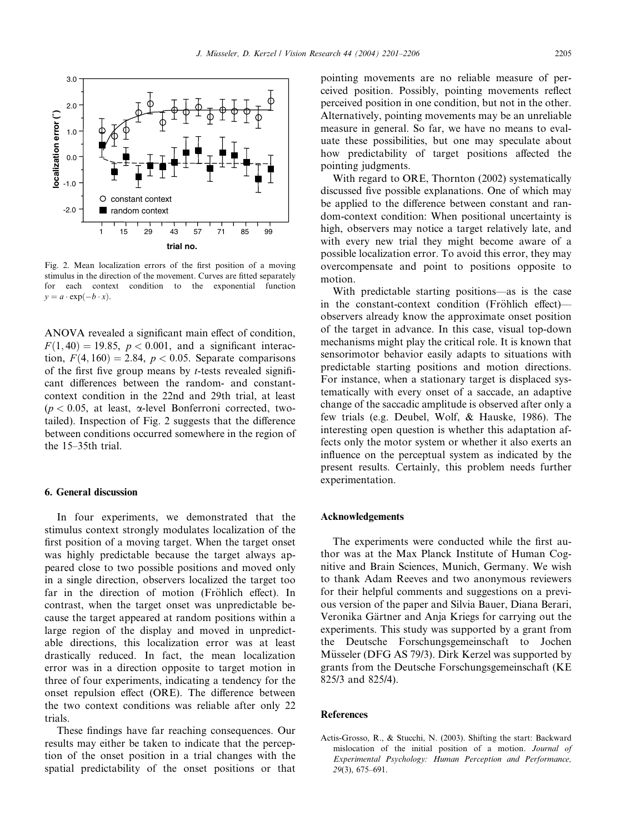

Fig. 2. Mean localization errors of the first position of a moving stimulus in the direction of the movement. Curves are fitted separately for each context condition to the exponential function  $y = a \cdot \exp(-b \cdot x)$ .

ANOVA revealed a significant main effect of condition,  $F(1, 40) = 19.85, p < 0.001$ , and a significant interaction,  $F(4, 160) = 2.84$ ,  $p < 0.05$ . Separate comparisons of the first five group means by  $t$ -tests revealed significant differences between the random- and constantcontext condition in the 22nd and 29th trial, at least ( $p < 0.05$ , at least,  $\alpha$ -level Bonferroni corrected, twotailed). Inspection of Fig. 2 suggests that the difference between conditions occurred somewhere in the region of the 15–35th trial.

# 6. General discussion

In four experiments, we demonstrated that the stimulus context strongly modulates localization of the first position of a moving target. When the target onset was highly predictable because the target always appeared close to two possible positions and moved only in a single direction, observers localized the target too far in the direction of motion (Fröhlich effect). In contrast, when the target onset was unpredictable because the target appeared at random positions within a large region of the display and moved in unpredictable directions, this localization error was at least drastically reduced. In fact, the mean localization error was in a direction opposite to target motion in three of four experiments, indicating a tendency for the onset repulsion effect (ORE). The difference between the two context conditions was reliable after only 22 trials.

These findings have far reaching consequences. Our results may either be taken to indicate that the perception of the onset position in a trial changes with the spatial predictability of the onset positions or that pointing movements are no reliable measure of perceived position. Possibly, pointing movements reflect perceived position in one condition, but not in the other. Alternatively, pointing movements may be an unreliable measure in general. So far, we have no means to evaluate these possibilities, but one may speculate about how predictability of target positions affected the pointing judgments.

With regard to ORE, Thornton (2002) systematically discussed five possible explanations. One of which may be applied to the difference between constant and random-context condition: When positional uncertainty is high, observers may notice a target relatively late, and with every new trial they might become aware of a possible localization error. To avoid this error, they may overcompensate and point to positions opposite to motion.

With predictable starting positions––as is the case in the constant-context condition (Fröhlich effect)— $$ observers already know the approximate onset position of the target in advance. In this case, visual top-down mechanisms might play the critical role. It is known that sensorimotor behavior easily adapts to situations with predictable starting positions and motion directions. For instance, when a stationary target is displaced systematically with every onset of a saccade, an adaptive change of the saccadic amplitude is observed after only a few trials (e.g. Deubel, Wolf, & Hauske, 1986). The interesting open question is whether this adaptation affects only the motor system or whether it also exerts an influence on the perceptual system as indicated by the present results. Certainly, this problem needs further experimentation.

#### Acknowledgements

The experiments were conducted while the first author was at the Max Planck Institute of Human Cognitive and Brain Sciences, Munich, Germany. We wish to thank Adam Reeves and two anonymous reviewers for their helpful comments and suggestions on a previous version of the paper and Silvia Bauer, Diana Berari, Veronika Gärtner and Anja Kriegs for carrying out the experiments. This study was supported by a grant from the Deutsche Forschungsgemeinschaft to Jochen Müsseler (DFG AS 79/3). Dirk Kerzel was supported by grants from the Deutsche Forschungsgemeinschaft (KE 825/3 and 825/4).

#### References

Actis-Grosso, R., & Stucchi, N. (2003). Shifting the start: Backward mislocation of the initial position of a motion. Journal of Experimental Psychology: Human Perception and Performance, 29(3), 675–691.